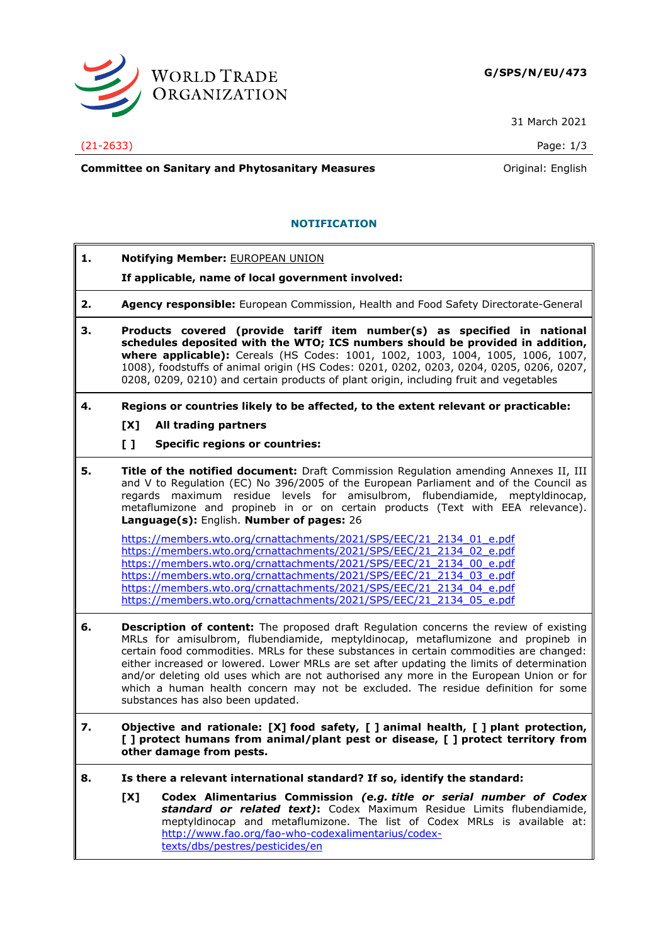

31 March 2021

## (21-2633) Page: 1/3

**Committee on Sanitary and Phytosanitary Measures Committee on Sanitary and Phytosanitary Measures Committee And American** 

# **NOTIFICATION**

- **1. Notifying Member:** EUROPEAN UNION
	- **If applicable, name of local government involved:**
- **2. Agency responsible:** European Commission, Health and Food Safety Directorate-General
- **3. Products covered (provide tariff item number(s) as specified in national schedules deposited with the WTO; ICS numbers should be provided in addition, where applicable):** Cereals (HS Codes: 1001, 1002, 1003, 1004, 1005, 1006, 1007, 1008), foodstuffs of animal origin (HS Codes: 0201, 0202, 0203, 0204, 0205, 0206, 0207, 0208, 0209, 0210) and certain products of plant origin, including fruit and vegetables
- **4. Regions or countries likely to be affected, to the extent relevant or practicable:**
	- **[X] All trading partners**
	- **[ ] Specific regions or countries:**
- **5. Title of the notified document:** Draft Commission Regulation amending Annexes II, III and V to Regulation (EC) No 396/2005 of the European Parliament and of the Council as regards maximum residue levels for amisulbrom, flubendiamide, meptyldinocap, metaflumizone and propineb in or on certain products (Text with EEA relevance). **Language(s):** English. **Number of pages:** 26

[https://members.wto.org/crnattachments/2021/SPS/EEC/21\\_2134\\_01\\_e.pdf](https://members.wto.org/crnattachments/2021/SPS/EEC/21_2134_01_e.pdf) [https://members.wto.org/crnattachments/2021/SPS/EEC/21\\_2134\\_02\\_e.pdf](https://members.wto.org/crnattachments/2021/SPS/EEC/21_2134_02_e.pdf) [https://members.wto.org/crnattachments/2021/SPS/EEC/21\\_2134\\_00\\_e.pdf](https://members.wto.org/crnattachments/2021/SPS/EEC/21_2134_00_e.pdf) [https://members.wto.org/crnattachments/2021/SPS/EEC/21\\_2134\\_03\\_e.pdf](https://members.wto.org/crnattachments/2021/SPS/EEC/21_2134_03_e.pdf) [https://members.wto.org/crnattachments/2021/SPS/EEC/21\\_2134\\_04\\_e.pdf](https://members.wto.org/crnattachments/2021/SPS/EEC/21_2134_04_e.pdf) [https://members.wto.org/crnattachments/2021/SPS/EEC/21\\_2134\\_05\\_e.pdf](https://members.wto.org/crnattachments/2021/SPS/EEC/21_2134_05_e.pdf)

- **6. Description of content:** The proposed draft Regulation concerns the review of existing MRLs for amisulbrom, flubendiamide, meptyldinocap, metaflumizone and propineb in certain food commodities. MRLs for these substances in certain commodities are changed: either increased or lowered. Lower MRLs are set after updating the limits of determination and/or deleting old uses which are not authorised any more in the European Union or for which a human health concern may not be excluded. The residue definition for some substances has also been updated.
- **7. Objective and rationale: [X] food safety, [ ] animal health, [ ] plant protection, [ ] protect humans from animal/plant pest or disease, [ ] protect territory from other damage from pests.**
- **8. Is there a relevant international standard? If so, identify the standard:**
	- **[X] Codex Alimentarius Commission** *(e.g. title or serial number of Codex standard or related text)***:** Codex Maximum Residue Limits flubendiamide, meptyldinocap and metaflumizone. The list of Codex MRLs is available at: [http://www.fao.org/fao-who-codexalimentarius/codex](http://www.fao.org/fao-who-codexalimentarius/codex-texts/dbs/pestres/pesticides/en)[texts/dbs/pestres/pesticides/en](http://www.fao.org/fao-who-codexalimentarius/codex-texts/dbs/pestres/pesticides/en)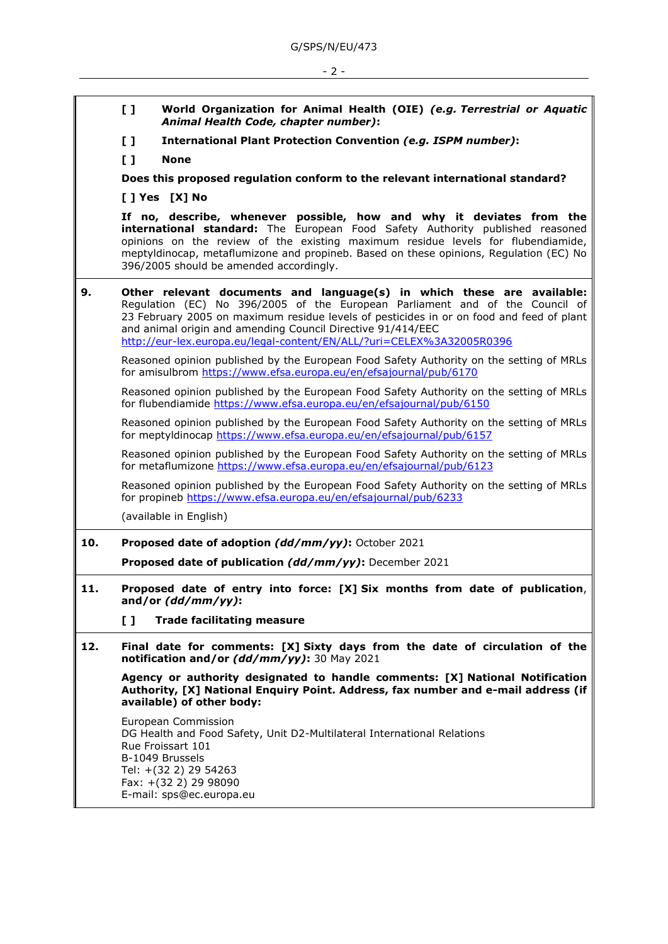|     | $\mathbf{L}$                                                                                                                                                                                                                                                                                                                                                                               | World Organization for Animal Health (OIE) (e.g. Terrestrial or Aquatic<br>Animal Health Code, chapter number):                                                                                                      |
|-----|--------------------------------------------------------------------------------------------------------------------------------------------------------------------------------------------------------------------------------------------------------------------------------------------------------------------------------------------------------------------------------------------|----------------------------------------------------------------------------------------------------------------------------------------------------------------------------------------------------------------------|
|     | $\mathbf{L}$                                                                                                                                                                                                                                                                                                                                                                               | International Plant Protection Convention (e.g. ISPM number):                                                                                                                                                        |
|     | $\mathbf{L}$                                                                                                                                                                                                                                                                                                                                                                               | <b>None</b>                                                                                                                                                                                                          |
|     | Does this proposed regulation conform to the relevant international standard?                                                                                                                                                                                                                                                                                                              |                                                                                                                                                                                                                      |
|     | [ ] Yes [X] No                                                                                                                                                                                                                                                                                                                                                                             |                                                                                                                                                                                                                      |
|     | If no, describe, whenever possible, how and why it deviates from the<br>international standard: The European Food Safety Authority published reasoned<br>opinions on the review of the existing maximum residue levels for flubendiamide,<br>meptyldinocap, metaflumizone and propineb. Based on these opinions, Regulation (EC) No<br>396/2005 should be amended accordingly.             |                                                                                                                                                                                                                      |
| 9.  | Other relevant documents and language(s) in which these are available:<br>Regulation (EC) No 396/2005 of the European Parliament and of the Council of<br>23 February 2005 on maximum residue levels of pesticides in or on food and feed of plant<br>and animal origin and amending Council Directive 91/414/EEC<br>http://eur-lex.europa.eu/legal-content/EN/ALL/?uri=CELEX%3A32005R0396 |                                                                                                                                                                                                                      |
|     |                                                                                                                                                                                                                                                                                                                                                                                            | Reasoned opinion published by the European Food Safety Authority on the setting of MRLs<br>for amisulbrom https://www.efsa.europa.eu/en/efsajournal/pub/6170                                                         |
|     |                                                                                                                                                                                                                                                                                                                                                                                            | Reasoned opinion published by the European Food Safety Authority on the setting of MRLs<br>for flubendiamide https://www.efsa.europa.eu/en/efsajournal/pub/6150                                                      |
|     |                                                                                                                                                                                                                                                                                                                                                                                            | Reasoned opinion published by the European Food Safety Authority on the setting of MRLs<br>for meptyldinocap https://www.efsa.europa.eu/en/efsajournal/pub/6157                                                      |
|     |                                                                                                                                                                                                                                                                                                                                                                                            | Reasoned opinion published by the European Food Safety Authority on the setting of MRLs<br>for metaflumizone https://www.efsa.europa.eu/en/efsajournal/pub/6123                                                      |
|     |                                                                                                                                                                                                                                                                                                                                                                                            | Reasoned opinion published by the European Food Safety Authority on the setting of MRLs<br>for propineb https://www.efsa.europa.eu/en/efsajournal/pub/6233                                                           |
|     |                                                                                                                                                                                                                                                                                                                                                                                            | (available in English)                                                                                                                                                                                               |
| 10. |                                                                                                                                                                                                                                                                                                                                                                                            | Proposed date of adoption (dd/mm/yy): October 2021                                                                                                                                                                   |
|     |                                                                                                                                                                                                                                                                                                                                                                                            | Proposed date of publication (dd/mm/yy): December 2021                                                                                                                                                               |
| 11. | Proposed date of entry into force: [X] Six months from date of publication,<br>and/or $(dd/mm/yy)$ :                                                                                                                                                                                                                                                                                       |                                                                                                                                                                                                                      |
|     | $\begin{smallmatrix} 1 \end{smallmatrix}$                                                                                                                                                                                                                                                                                                                                                  | <b>Trade facilitating measure</b>                                                                                                                                                                                    |
| 12. |                                                                                                                                                                                                                                                                                                                                                                                            | Final date for comments: [X] Sixty days from the date of circulation of the<br>notification and/or (dd/mm/yy): 30 May 2021                                                                                           |
|     |                                                                                                                                                                                                                                                                                                                                                                                            | Agency or authority designated to handle comments: [X] National Notification<br>Authority, [X] National Enquiry Point. Address, fax number and e-mail address (if<br>available) of other body:                       |
|     |                                                                                                                                                                                                                                                                                                                                                                                            | European Commission<br>DG Health and Food Safety, Unit D2-Multilateral International Relations<br>Rue Froissart 101<br>B-1049 Brussels<br>Tel: +(32 2) 29 54263<br>Fax: +(32 2) 29 98090<br>E-mail: sps@ec.europa.eu |